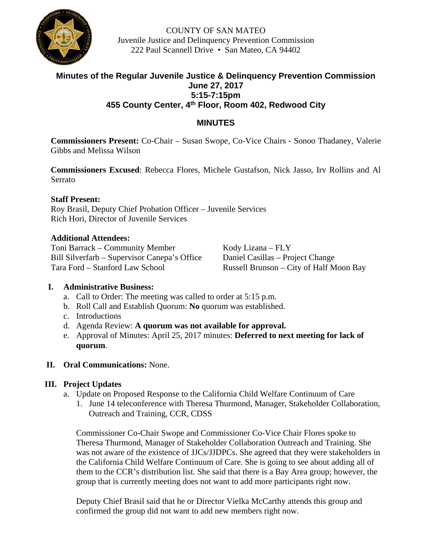

COUNTY OF SAN MATEO Juvenile Justice and Delinquency Prevention Commission 222 Paul Scannell Drive • San Mateo, CA 94402

# **Minutes of the Regular Juvenile Justice & Delinquency Prevention Commission June 27, 2017 5:15-7:15pm 455 County Center, 4th Floor, Room 402, Redwood City**

# **MINUTES**

**Commissioners Present:** Co-Chair – Susan Swope, Co-Vice Chairs - Sonoo Thadaney, Valerie Gibbs and Melissa Wilson

**Commissioners Excused**: Rebecca Flores, Michele Gustafson, Nick Jasso, Irv Rollins and Al Serrato

### **Staff Present:**

Roy Brasil, Deputy Chief Probation Officer – Juvenile Services Rich Hori, Director of Juvenile Services

### **Additional Attendees:**

Toni Barrack – Community Member Kody Lizana – FLY Bill Silverfarb – Supervisor Canepa's Office Daniel Casillas – Project Change Tara Ford – Stanford Law School Russell Brunson – City of Half Moon Bay

# **I. Administrative Business:**

- a. Call to Order: The meeting was called to order at 5:15 p.m.
- b. Roll Call and Establish Quorum: **No** quorum was established.
- c. Introductions
- d. Agenda Review: **A quorum was not available for approval.**
- e. Approval of Minutes: April 25, 2017 minutes: **Deferred to next meeting for lack of quorum**.

#### **II. Oral Communications:** None.

# **III. Project Updates**

- a. Update on Proposed Response to the California Child Welfare Continuum of Care
	- 1. June 14 teleconference with Theresa Thurmond, Manager, Stakeholder Collaboration, Outreach and Training, CCR, CDSS

Commissioner Co-Chair Swope and Commissioner Co-Vice Chair Flores spoke to Theresa Thurmond, Manager of Stakeholder Collaboration Outreach and Training. She was not aware of the existence of JJCs/JJDPCs. She agreed that they were stakeholders in the California Child Welfare Continuum of Care. She is going to see about adding all of them to the CCR's distribution list. She said that there is a Bay Area group; however, the group that is currently meeting does not want to add more participants right now.

Deputy Chief Brasil said that he or Director Vielka McCarthy attends this group and confirmed the group did not want to add new members right now.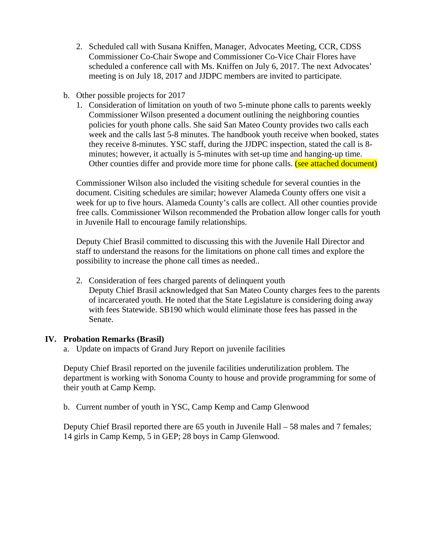- 2. Scheduled call with Susana Kniffen, Manager, Advocates Meeting, CCR, CDSS Commissioner Co-Chair Swope and Commissioner Co-Vice Chair Flores have scheduled a conference call with Ms. Kniffen on July 6, 2017. The next Advocates' meeting is on July 18, 2017 and JJDPC members are invited to participate.
- b. Other possible projects for 2017
	- 1. Consideration of limitation on youth of two 5-minute phone calls to parents weekly Commissioner Wilson presented a document outlining the neighboring counties policies for youth phone calls. She said San Mateo County provides two calls each week and the calls last 5-8 minutes. The handbook youth receive when booked, states they receive 8-minutes. YSC staff, during the JJDPC inspection, stated the call is 8 minutes; however, it actually is 5-minutes with set-up time and hanging-up time. Other counties differ and provide more time for phone calls. (see attached document)

Commissioner Wilson also included the visiting schedule for several counties in the document. Cisiting schedules are similar; however Alameda County offers one visit a week for up to five hours. Alameda County's calls are collect. All other counties provide free calls. Commissioner Wilson recommended the Probation allow longer calls for youth in Juvenile Hall to encourage family relationships.

Deputy Chief Brasil committed to discussing this with the Juvenile Hall Director and staff to understand the reasons for the limitations on phone call times and explore the possibility to increase the phone call times as needed..

2. Consideration of fees charged parents of delinquent youth Deputy Chief Brasil acknowledged that San Mateo County charges fees to the parents of incarcerated youth. He noted that the State Legislature is considering doing away with fees Statewide. SB190 which would eliminate those fees has passed in the Senate.

#### **IV. Probation Remarks (Brasil)**

a. Update on impacts of Grand Jury Report on juvenile facilities

Deputy Chief Brasil reported on the juvenile facilities underutilization problem. The department is working with Sonoma County to house and provide programming for some of their youth at Camp Kemp.

# b. Current number of youth in YSC, Camp Kemp and Camp Glenwood

Deputy Chief Brasil reported there are 65 youth in Juvenile Hall – 58 males and 7 females; 14 girls in Camp Kemp, 5 in GEP; 28 boys in Camp Glenwood.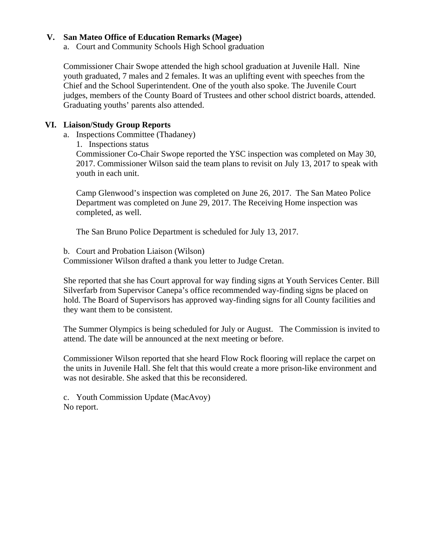### **V. San Mateo Office of Education Remarks (Magee)**

a. Court and Community Schools High School graduation

Commissioner Chair Swope attended the high school graduation at Juvenile Hall. Nine youth graduated, 7 males and 2 females. It was an uplifting event with speeches from the Chief and the School Superintendent. One of the youth also spoke. The Juvenile Court judges, members of the County Board of Trustees and other school district boards, attended. Graduating youths' parents also attended.

### **VI. Liaison/Study Group Reports**

- a. Inspections Committee (Thadaney)
	- 1. Inspections status

Commissioner Co-Chair Swope reported the YSC inspection was completed on May 30, 2017. Commissioner Wilson said the team plans to revisit on July 13, 2017 to speak with youth in each unit.

Camp Glenwood's inspection was completed on June 26, 2017. The San Mateo Police Department was completed on June 29, 2017. The Receiving Home inspection was completed, as well.

The San Bruno Police Department is scheduled for July 13, 2017.

b. Court and Probation Liaison (Wilson)

Commissioner Wilson drafted a thank you letter to Judge Cretan.

She reported that she has Court approval for way finding signs at Youth Services Center. Bill Silverfarb from Supervisor Canepa's office recommended way-finding signs be placed on hold. The Board of Supervisors has approved way-finding signs for all County facilities and they want them to be consistent.

The Summer Olympics is being scheduled for July or August. The Commission is invited to attend. The date will be announced at the next meeting or before.

Commissioner Wilson reported that she heard Flow Rock flooring will replace the carpet on the units in Juvenile Hall. She felt that this would create a more prison-like environment and was not desirable. She asked that this be reconsidered.

c. Youth Commission Update (MacAvoy) No report.